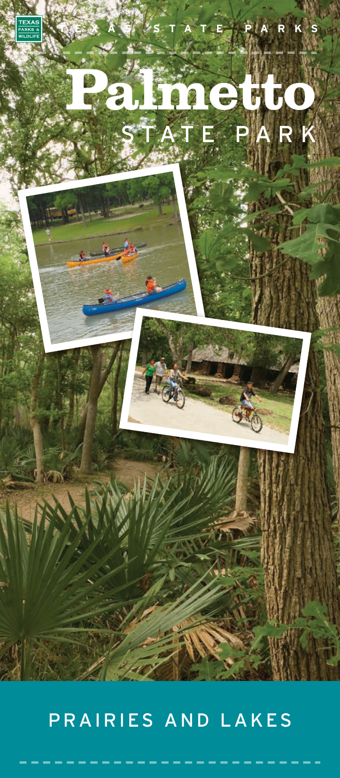

## PRAIRIES AND LAKES